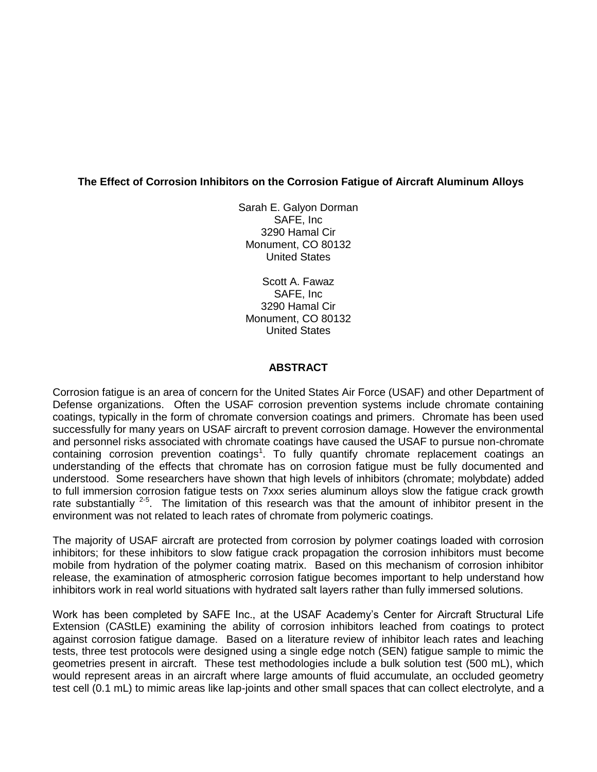# **The Effect of Corrosion Inhibitors on the Corrosion Fatigue of Aircraft Aluminum Alloys**

Sarah E. Galyon Dorman SAFE, Inc 3290 Hamal Cir Monument, CO 80132 United States

Scott A. Fawaz SAFE, Inc 3290 Hamal Cir Monument, CO 80132 United States

### **ABSTRACT**

Corrosion fatigue is an area of concern for the United States Air Force (USAF) and other Department of Defense organizations. Often the USAF corrosion prevention systems include chromate containing coatings, typically in the form of chromate conversion coatings and primers. Chromate has been used successfully for many years on USAF aircraft to prevent corrosion damage. However the environmental and personnel risks associated with chromate coatings have caused the USAF to pursue non-chromate containing corrosion prevention coatings<sup>1</sup>. To fully quantify chromate replacement coatings an understanding of the effects that chromate has on corrosion fatigue must be fully documented and understood. Some researchers have shown that high levels of inhibitors (chromate; molybdate) added to full immersion corrosion fatigue tests on 7xxx series aluminum alloys slow the fatigue crack growth rate substantially  $2-5$ . The limitation of this research was that the amount of inhibitor present in the environment was not related to leach rates of chromate from polymeric coatings.

The majority of USAF aircraft are protected from corrosion by polymer coatings loaded with corrosion inhibitors; for these inhibitors to slow fatigue crack propagation the corrosion inhibitors must become mobile from hydration of the polymer coating matrix. Based on this mechanism of corrosion inhibitor release, the examination of atmospheric corrosion fatigue becomes important to help understand how inhibitors work in real world situations with hydrated salt layers rather than fully immersed solutions.

Work has been completed by SAFE Inc., at the USAF Academy's Center for Aircraft Structural Life Extension (CAStLE) examining the ability of corrosion inhibitors leached from coatings to protect against corrosion fatigue damage. Based on a literature review of inhibitor leach rates and leaching tests, three test protocols were designed using a single edge notch (SEN) fatigue sample to mimic the geometries present in aircraft. These test methodologies include a bulk solution test (500 mL), which would represent areas in an aircraft where large amounts of fluid accumulate, an occluded geometry test cell (0.1 mL) to mimic areas like lap-joints and other small spaces that can collect electrolyte, and a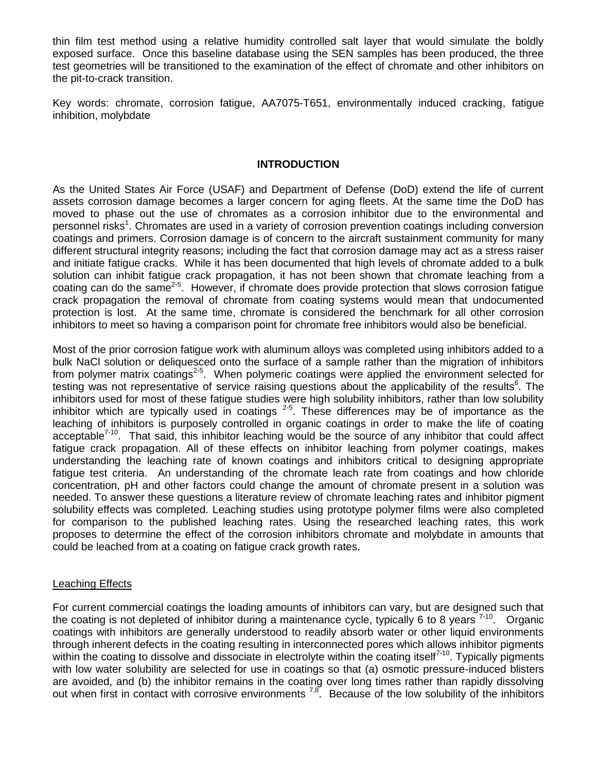thin film test method using a relative humidity controlled salt layer that would simulate the boldly exposed surface. Once this baseline database using the SEN samples has been produced, the three test geometries will be transitioned to the examination of the effect of chromate and other inhibitors on the pit-to-crack transition.

Key words: chromate, corrosion fatigue, AA7075-T651, environmentally induced cracking, fatigue inhibition, molybdate

### **INTRODUCTION**

As the United States Air Force (USAF) and Department of Defense (DoD) extend the life of current assets corrosion damage becomes a larger concern for aging fleets. At the same time the DoD has moved to phase out the use of chromates as a corrosion inhibitor due to the environmental and personnel risks<sup>1</sup>. Chromates are used in a variety of corrosion prevention coatings including conversion coatings and primers. Corrosion damage is of concern to the aircraft sustainment community for many different structural integrity reasons; including the fact that corrosion damage may act as a stress raiser and initiate fatigue cracks. While it has been documented that high levels of chromate added to a bulk solution can inhibit fatigue crack propagation, it has not been shown that chromate leaching from a coating can do the same<sup>2-5</sup>. However, if chromate does provide protection that slows corrosion fatigue crack propagation the removal of chromate from coating systems would mean that undocumented protection is lost. At the same time, chromate is considered the benchmark for all other corrosion inhibitors to meet so having a comparison point for chromate free inhibitors would also be beneficial.

Most of the prior corrosion fatigue work with aluminum alloys was completed using inhibitors added to a bulk NaCl solution or deliquesced onto the surface of a sample rather than the migration of inhibitors from polymer matrix coatings<sup>2-5</sup>. When polymeric coatings were applied the environment selected for testing was not representative of service raising questions about the applicability of the results<sup>6</sup>. The inhibitors used for most of these fatigue studies were high solubility inhibitors, rather than low solubility inhibitor which are typically used in coatings  $2-5$ . These differences may be of importance as the leaching of inhibitors is purposely controlled in organic coatings in order to make the life of coating acceptable<sup>7-10</sup>. That said, this inhibitor leaching would be the source of any inhibitor that could affect fatigue crack propagation. All of these effects on inhibitor leaching from polymer coatings, makes understanding the leaching rate of known coatings and inhibitors critical to designing appropriate fatigue test criteria. An understanding of the chromate leach rate from coatings and how chloride concentration, pH and other factors could change the amount of chromate present in a solution was needed. To answer these questions a literature review of chromate leaching rates and inhibitor pigment solubility effects was completed. Leaching studies using prototype polymer films were also completed for comparison to the published leaching rates. Using the researched leaching rates, this work proposes to determine the effect of the corrosion inhibitors chromate and molybdate in amounts that could be leached from at a coating on fatigue crack growth rates.

#### Leaching Effects

For current commercial coatings the loading amounts of inhibitors can vary, but are designed such that the coating is not depleted of inhibitor during a maintenance cycle, typically 6 to 8 years  $7-10$ . Organic coatings with inhibitors are generally understood to readily absorb water or other liquid environments through inherent defects in the coating resulting in interconnected pores which allows inhibitor pigments within the coating to dissolve and dissociate in electrolyte within the coating itself<sup>7-10</sup>. Typically pigments with low water solubility are selected for use in coatings so that (a) osmotic pressure-induced blisters are avoided, and (b) the inhibitor remains in the coating over long times rather than rapidly dissolving out when first in contact with corrosive environments  $^{7,8}$ . Because of the low solubility of the inhibitors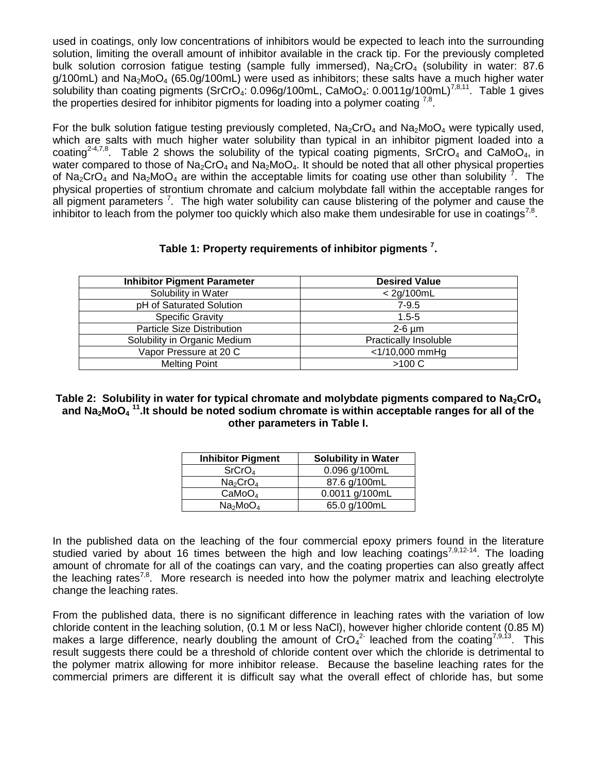used in coatings, only low concentrations of inhibitors would be expected to leach into the surrounding solution, limiting the overall amount of inhibitor available in the crack tip. For the previously completed bulk solution corrosion fatigue testing (sample fully immersed),  $Na_2CrO_4$  (solubility in water: 87.6  $q/100$ mL) and Na<sub>2</sub>MoO<sub>4</sub> (65.0g/100mL) were used as inhibitors; these salts have a much higher water solubility than coating pigments (SrCrO<sub>4</sub>: 0.096g/100mL, CaMoO<sub>4</sub>: 0.0011g/100mL)<sup>7,8,11</sup>. [Table 1](#page-2-0) gives the properties desired for inhibitor pigments for loading into a polymer coating  $^{7,8}$ .

For the bulk solution fatigue testing previously completed,  $Na_2CrO_4$  and  $Na_2MoO_4$  were typically used, which are salts with much higher water solubility than typical in an inhibitor pigment loaded into a coating<sup>24,7,8</sup>. [Table 2](#page-2-1) shows the solubility of the typical coating pigments, SrCrO<sub>4</sub> and CaMoO<sub>4</sub>, in water compared to those of  $Na<sub>2</sub>CrO<sub>4</sub>$  and  $Na<sub>2</sub>MoO<sub>4</sub>$ . It should be noted that all other physical properties of Na<sub>2</sub>CrO<sub>4</sub> and Na<sub>2</sub>MoO<sub>4</sub> are within the acceptable limits for coating use other than solubility <sup>7</sup>. The physical properties of strontium chromate and calcium molybdate fall within the acceptable ranges for all pigment parameters<sup>7</sup>. The high water solubility can cause blistering of the polymer and cause the inhibitor to leach from the polymer too quickly which also make them undesirable for use in coatings<sup>7,8</sup>.

| Table 1: Property requirements of inhibitor pigments <sup>7</sup> . |  |  |  |  |
|---------------------------------------------------------------------|--|--|--|--|
|---------------------------------------------------------------------|--|--|--|--|

<span id="page-2-0"></span>

| <b>Inhibitor Pigment Parameter</b> | <b>Desired Value</b>         |
|------------------------------------|------------------------------|
| Solubility in Water                | < 2g/100mL                   |
| pH of Saturated Solution           | $7 - 9.5$                    |
| <b>Specific Gravity</b>            | $1.5 - 5$                    |
| Particle Size Distribution         | $2-6 \mu m$                  |
| Solubility in Organic Medium       | <b>Practically Insoluble</b> |
| Vapor Pressure at 20 C             | $<$ 1/10,000 mmHg            |
| <b>Melting Point</b>               | $>100 C$                     |

<span id="page-2-1"></span>Table 2: Solubility in water for typical chromate and molybdate pigments compared to Na<sub>2</sub>CrO<sub>4</sub> **and Na2MoO<sup>4</sup> 11 .It should be noted sodium chromate is within acceptable ranges for all of the other parameters in Table I.**

| <b>Inhibitor Pigment</b>         | <b>Solubility in Water</b> |
|----------------------------------|----------------------------|
| SrCrO <sub>4</sub>               | 0.096 g/100mL              |
| Na <sub>2</sub> CrO <sub>4</sub> | 87.6 g/100mL               |
| CaMoO <sub>4</sub>               | 0.0011 g/100mL             |
| Na <sub>2</sub> MoO <sub>4</sub> | 65.0 g/100mL               |

In the published data on the leaching of the four commercial epoxy primers found in the literature studied varied by about 16 times between the high and low leaching coatings<sup>7,9,12-14</sup>. The loading amount of chromate for all of the coatings can vary, and the coating properties can also greatly affect the leaching rates<sup>7,8</sup>. More research is needed into how the polymer matrix and leaching electrolyte change the leaching rates.

From the published data, there is no significant difference in leaching rates with the variation of low chloride content in the leaching solution, (0.1 M or less NaCl), however higher chloride content (0.85 M) makes a large difference, nearly doubling the amount of CrO<sub>4</sub><sup>2</sup> leached from the coating<sup>7,9,13</sup>. This result suggests there could be a threshold of chloride content over which the chloride is detrimental to the polymer matrix allowing for more inhibitor release. Because the baseline leaching rates for the commercial primers are different it is difficult say what the overall effect of chloride has, but some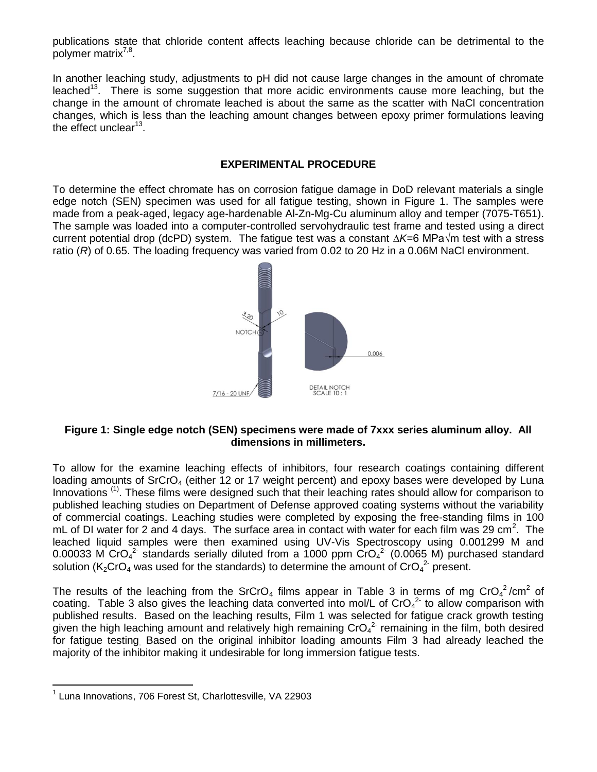publications state that chloride content affects leaching because chloride can be detrimental to the polymer matrix<sup>7,8</sup>.

In another leaching study, adjustments to pH did not cause large changes in the amount of chromate leached<sup>13</sup>. There is some suggestion that more acidic environments cause more leaching, but the change in the amount of chromate leached is about the same as the scatter with NaCl concentration changes, which is less than the leaching amount changes between epoxy primer formulations leaving the effect unclear<sup>13</sup>.

#### **EXPERIMENTAL PROCEDURE**

To determine the effect chromate has on corrosion fatigue damage in DoD relevant materials a single edge notch (SEN) specimen was used for all fatigue testing, shown in Figure 1. The samples were made from a peak-aged, legacy age-hardenable Al-Zn-Mg-Cu aluminum alloy and temper (7075-T651). The sample was loaded into a computer-controlled servohydraulic test frame and tested using a direct current potential drop (dcPD) system. The fatigue test was a constant *∆K*=6 MPa√m test with a stress ratio (*R*) of 0.65. The loading frequency was varied from 0.02 to 20 Hz in a 0.06M NaCl environment.



### **Figure 1: Single edge notch (SEN) specimens were made of 7xxx series aluminum alloy. All dimensions in millimeters.**

To allow for the examine leaching effects of inhibitors, four research coatings containing different loading amounts of SrCrO<sub>4</sub> (either 12 or 17 weight percent) and epoxy bases were developed by Luna Innovations<sup>(1)</sup>. These films were designed such that their leaching rates should allow for comparison to published leaching studies on Department of Defense approved coating systems without the variability of commercial coatings. Leaching studies were completed by exposing the free-standing films in 100 mL of DI water for 2 and 4 days. The surface area in contact with water for each film was 29 cm<sup>2</sup>. The leached liquid samples were then examined using UV-Vis Spectroscopy using 0.001299 M and 0.00033 M CrO<sub>4</sub><sup>2</sup> standards serially diluted from a 1000 ppm CrO<sub>4</sub><sup>2</sup> (0.0065 M) purchased standard solution (K<sub>2</sub>CrO<sub>4</sub> was used for the standards) to determine the amount of CrO<sub>4</sub><sup>2</sup> present.

The results of the leaching from the SrCrO<sub>4</sub> films appear in [Table 3](#page-4-0) in terms of mg CrO<sub>4</sub><sup>2</sup>/cm<sup>2</sup> of coating. [Table 3](#page-4-0) also gives the leaching data converted into mol/L of CrO $_4$ <sup>2</sup> to allow comparison with published results. Based on the leaching results, Film 1 was selected for fatigue crack growth testing given the high leaching amount and relatively high remaining CrO<sub>4</sub><sup>2</sup> remaining in the film, both desired for fatigue testing. Based on the original inhibitor loading amounts Film 3 had already leached the majority of the inhibitor making it undesirable for long immersion fatigue tests.

 $\overline{a}$ 

<sup>1</sup> Luna Innovations, 706 Forest St, Charlottesville, VA 22903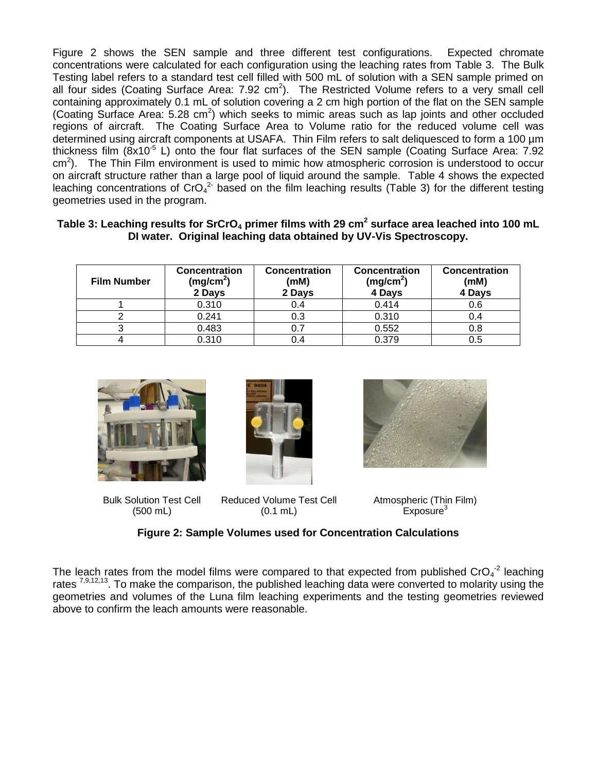[Figure 2](#page-4-1) shows the SEN sample and three different test configurations. Expected chromate concentrations were calculated for each configuration using the leaching rates from [Table 3.](#page-4-0) The Bulk Testing label refers to a standard test cell filled with 500 mL of solution with a SEN sample primed on all four sides (Coating Surface Area:  $7.92 \text{ cm}^2$ ). The Restricted Volume refers to a very small cell containing approximately 0.1 mL of solution covering a 2 cm high portion of the flat on the SEN sample (Coating Surface Area:  $5.28 \text{ cm}^2$ ) which seeks to mimic areas such as lap joints and other occluded regions of aircraft. The Coating Surface Area to Volume ratio for the reduced volume cell was determined using aircraft components at USAFA. Thin Film refers to salt deliquesced to form a 100 µm thickness film  $(8x10^{-5} \text{ L})$  onto the four flat surfaces of the SEN sample (Coating Surface Area: 7.92 cm<sup>2</sup>). The Thin Film environment is used to mimic how atmospheric corrosion is understood to occur on aircraft structure rather than a large pool of liquid around the sample. [Table 4](#page-5-0) shows the expected leaching concentrations of CrO<sub>4</sub><sup>2</sup> based on the film leaching results [\(Table 3\)](#page-4-0) for the different testing geometries used in the program.

### <span id="page-4-0"></span>**Table 3: Leaching results for SrCrO<sup>4</sup> primer films with 29 cm<sup>2</sup> surface area leached into 100 mL DI water. Original leaching data obtained by UV-Vis Spectroscopy.**

| <b>Film Number</b> | <b>Concentration</b><br>(mg/cm <sup>2</sup> )<br>2 Days | <b>Concentration</b><br>(mM)<br>2 Days | <b>Concentration</b><br>(mg/cm <sup>2</sup> )<br>4 Days | <b>Concentration</b><br>(mM)<br>4 Days |
|--------------------|---------------------------------------------------------|----------------------------------------|---------------------------------------------------------|----------------------------------------|
|                    | 0.310                                                   |                                        | 0.414                                                   | 0.6                                    |
|                    | 0.241                                                   | 0.3                                    | 0.310                                                   |                                        |
|                    | 0.483                                                   |                                        | 0.552                                                   | 0.8                                    |
|                    | 0.310                                                   |                                        | 0.379                                                   | 0.5                                    |







Bulk Solution Test Cell (500 mL)

Reduced Volume Test Cell (0.1 mL)

Atmospheric (Thin Film)  $Exposure<sup>3</sup>$ 

# **Figure 2: Sample Volumes used for Concentration Calculations**

<span id="page-4-1"></span>The leach rates from the model films were compared to that expected from published CrO<sub>4</sub><sup>-2</sup> leaching rates <sup>7,9,12,13</sup>. To make the comparison, the published leaching data were converted to molarity using the geometries and volumes of the Luna film leaching experiments and the testing geometries reviewed above to confirm the leach amounts were reasonable.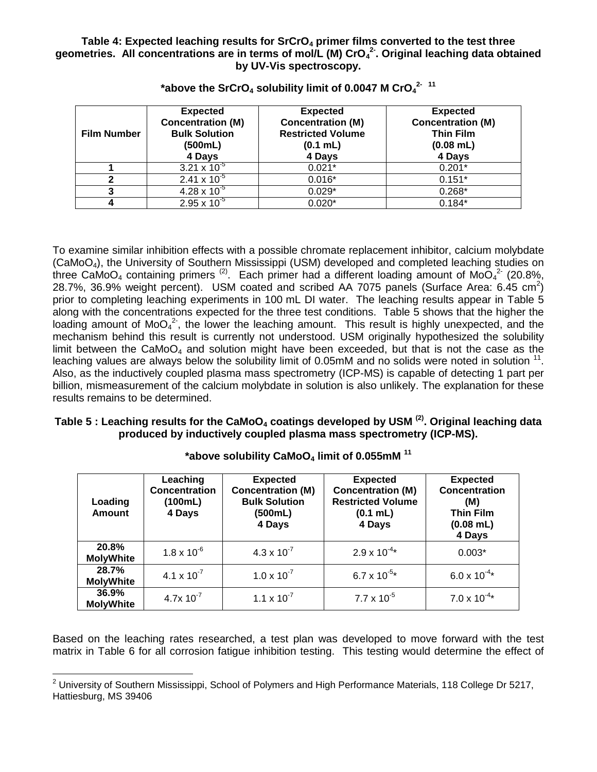#### <span id="page-5-0"></span>**Table 4: Expected leaching results for SrCrO<sup>4</sup> primer films converted to the test three geometries. All concentrations are in terms of mol/L (M) CrO<sup>4</sup> 2- . Original leaching data obtained by UV-Vis spectroscopy.**

| <b>Film Number</b> | <b>Expected</b><br><b>Concentration (M)</b><br><b>Bulk Solution</b><br>(500mL)<br>4 Days | <b>Expected</b><br><b>Concentration (M)</b><br><b>Restricted Volume</b><br>(0.1 mL)<br>4 Days | <b>Expected</b><br><b>Concentration (M)</b><br><b>Thin Film</b><br>$(0.08$ mL)<br>4 Days |
|--------------------|------------------------------------------------------------------------------------------|-----------------------------------------------------------------------------------------------|------------------------------------------------------------------------------------------|
|                    | 3.21 x $10^{-5}$                                                                         | $0.021*$                                                                                      | $0.201*$                                                                                 |
|                    | $2.41 \times 10^{-5}$                                                                    | $0.016*$                                                                                      | $0.151*$                                                                                 |
| כי                 | $4.28 \times 10^{-5}$                                                                    | $0.029*$                                                                                      | $0.268*$                                                                                 |
|                    | $2.95 \times 10^{-5}$                                                                    | $0.020*$                                                                                      | $0.184*$                                                                                 |

**\*above the SrCrO<sup>4</sup> solubility limit of 0.0047 M CrO<sup>4</sup> 2- 11**

To examine similar inhibition effects with a possible chromate replacement inhibitor, calcium molybdate (CaMoO4), the University of Southern Mississippi (USM) developed and completed leaching studies on three CaMoO<sub>4</sub> containing primers<sup>(2)</sup>. Each primer had a different loading amount of MoO<sub>4</sub><sup>2</sup> (20.8%, 28.7%, 36.9% weight percent). USM coated and scribed AA 7075 panels (Surface Area: 6.45 cm<sup>2</sup>) prior to completing leaching experiments in 100 mL DI water. The leaching results appear in [Table 5](#page-5-1) along with the concentrations expected for the three test conditions. [Table 5](#page-5-1) shows that the higher the loading amount of MoO<sub>4</sub><sup>2</sup>, the lower the leaching amount. This result is highly unexpected, and the mechanism behind this result is currently not understood. USM originally hypothesized the solubility limit between the CaMo $O_4$  and solution might have been exceeded, but that is not the case as the leaching values are always below the solubility limit of 0.05mM and no solids were noted in solution  $^{11}$ . Also, as the inductively coupled plasma mass spectrometry (ICP-MS) is capable of detecting 1 part per billion, mismeasurement of the calcium molybdate in solution is also unlikely. The explanation for these results remains to be determined.

# <span id="page-5-1"></span>**Table 5 : Leaching results for the CaMoO<sup>4</sup> coatings developed by USM (2). Original leaching data produced by inductively coupled plasma mass spectrometry (ICP-MS).**

| Loading<br><b>Amount</b>  | Leaching<br><b>Concentration</b><br>(100mL)<br>4 Days | <b>Expected</b><br><b>Concentration (M)</b><br><b>Bulk Solution</b><br>(500mL)<br>4 Days | <b>Expected</b><br><b>Concentration (M)</b><br><b>Restricted Volume</b><br>$(0.1$ mL)<br>4 Days | <b>Expected</b><br><b>Concentration</b><br>(M)<br><b>Thin Film</b><br>$(0.08$ mL)<br>4 Days |
|---------------------------|-------------------------------------------------------|------------------------------------------------------------------------------------------|-------------------------------------------------------------------------------------------------|---------------------------------------------------------------------------------------------|
| 20.8%<br><b>MolyWhite</b> | $1.8 \times 10^{-6}$                                  | $4.3 \times 10^{-7}$                                                                     | $2.9 \times 10^{-4}$ *                                                                          | $0.003*$                                                                                    |
| 28.7%<br><b>MolyWhite</b> | $4.1 \times 10^{-7}$                                  | $1.0 \times 10^{-7}$                                                                     | $6.7 \times 10^{-5}$ *                                                                          | $6.0 \times 10^{-4}$ *                                                                      |
| 36.9%<br><b>MolyWhite</b> | $4.7x 10^{-7}$                                        | $1.1 \times 10^{-7}$                                                                     | $7.7 \times 10^{-5}$                                                                            | $7.0 \times 10^{-4*}$                                                                       |

**\*above solubility CaMoO<sup>4</sup> limit of 0.055mM <sup>11</sup>**

Based on the leaching rates researched, a test plan was developed to move forward with the test matrix in [Table 6](#page-6-0) for all corrosion fatigue inhibition testing. This testing would determine the effect of

 $\overline{a}$ 

<sup>&</sup>lt;sup>2</sup> University of Southern Mississippi, School of Polymers and High Performance Materials, 118 College Dr 5217, Hattiesburg, MS 39406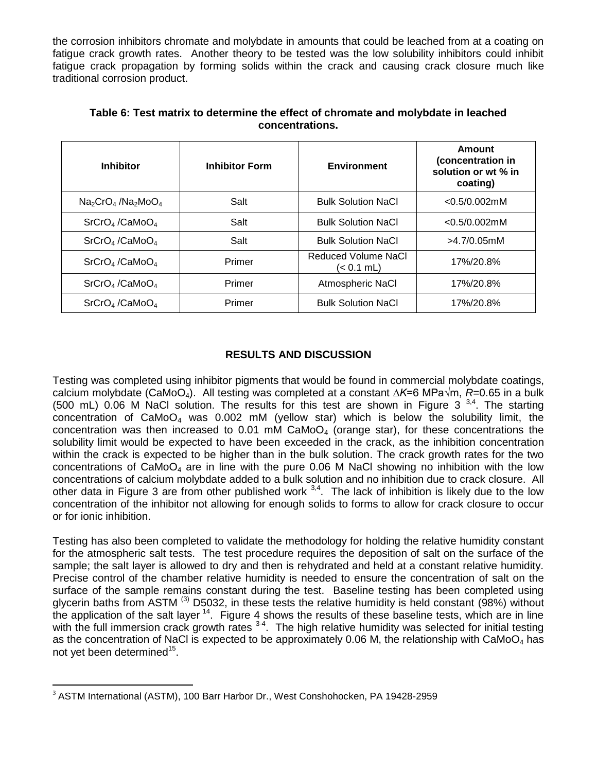the corrosion inhibitors chromate and molybdate in amounts that could be leached from at a coating on fatigue crack growth rates. Another theory to be tested was the low solubility inhibitors could inhibit fatigue crack propagation by forming solids within the crack and causing crack closure much like traditional corrosion product.

<span id="page-6-0"></span>

| <b>Inhibitor</b>                            | <b>Inhibitor Form</b> | <b>Environment</b>                | Amount<br>(concentration in<br>solution or wt % in<br>coating) |
|---------------------------------------------|-----------------------|-----------------------------------|----------------------------------------------------------------|
| $Na2CrO4$ /Na <sub>2</sub> MoO <sub>4</sub> | Salt                  | <b>Bulk Solution NaCl</b>         | $<$ 0.5/0.002mM                                                |
| SrCrO <sub>4</sub> /CaMoO <sub>4</sub>      | Salt                  | <b>Bulk Solution NaCl</b>         | $<$ 0.5/0.002mM                                                |
| SrCrO <sub>4</sub> /CaMoO <sub>4</sub>      | Salt                  | <b>Bulk Solution NaCl</b>         | $>4.7/0.05$ mM                                                 |
| SrCrO <sub>4</sub> /CaMoO <sub>4</sub>      | Primer                | Reduced Volume NaCl<br>(< 0.1 mL) | 17%/20.8%                                                      |
| SrCrO <sub>4</sub> /CaMoO <sub>4</sub>      | Primer                | Atmospheric NaCl                  | 17%/20.8%                                                      |
| SrCrO <sub>4</sub> /CaMoO <sub>4</sub>      | Primer                | <b>Bulk Solution NaCl</b>         | 17%/20.8%                                                      |

### **Table 6: Test matrix to determine the effect of chromate and molybdate in leached concentrations.**

# **RESULTS AND DISCUSSION**

Testing was completed using inhibitor pigments that would be found in commercial molybdate coatings, calcium molybdate (CaMoO4). All testing was completed at a constant *∆K*=6 MPa√m, *R*=0.65 in a bulk (500 mL) 0.06 M NaCl solution. The results for this test are shown in [Figure 3](#page-7-0)  $^{3,4}$ . The starting concentration of  $CaMoO<sub>4</sub>$  was 0.002 mM (yellow star) which is below the solubility limit, the concentration was then increased to 0.01 mM CaMoO<sub>4</sub> (orange star), for these concentrations the solubility limit would be expected to have been exceeded in the crack, as the inhibition concentration within the crack is expected to be higher than in the bulk solution. The crack growth rates for the two concentrations of  $CaM<sub>0</sub>O<sub>4</sub>$  are in line with the pure 0.06 M NaCl showing no inhibition with the low concentrations of calcium molybdate added to a bulk solution and no inhibition due to crack closure. All other data in [Figure 3](#page-7-0) are from other published work  $3,4$ . The lack of inhibition is likely due to the low concentration of the inhibitor not allowing for enough solids to forms to allow for crack closure to occur or for ionic inhibition.

Testing has also been completed to validate the methodology for holding the relative humidity constant for the atmospheric salt tests. The test procedure requires the deposition of salt on the surface of the sample; the salt layer is allowed to dry and then is rehydrated and held at a constant relative humidity. Precise control of the chamber relative humidity is needed to ensure the concentration of salt on the surface of the sample remains constant during the test. Baseline testing has been completed using glycerin baths from ASTM<sup>(3)</sup> D5032, in these tests the relative humidity is held constant (98%) without the application of the salt layer <sup>14</sup>. [Figure 4](#page-7-1) shows the results of these baseline tests, which are in line with the full immersion crack growth rates <sup>3-4</sup>. The high relative humidity was selected for initial testing as the concentration of NaCl is expected to be approximately 0.06 M, the relationship with CaMoO<sub>4</sub> has not yet been determined<sup>15</sup>.

 $\overline{a}$ 

<sup>3</sup> ASTM International (ASTM), 100 Barr Harbor Dr., West Conshohocken, PA 19428-2959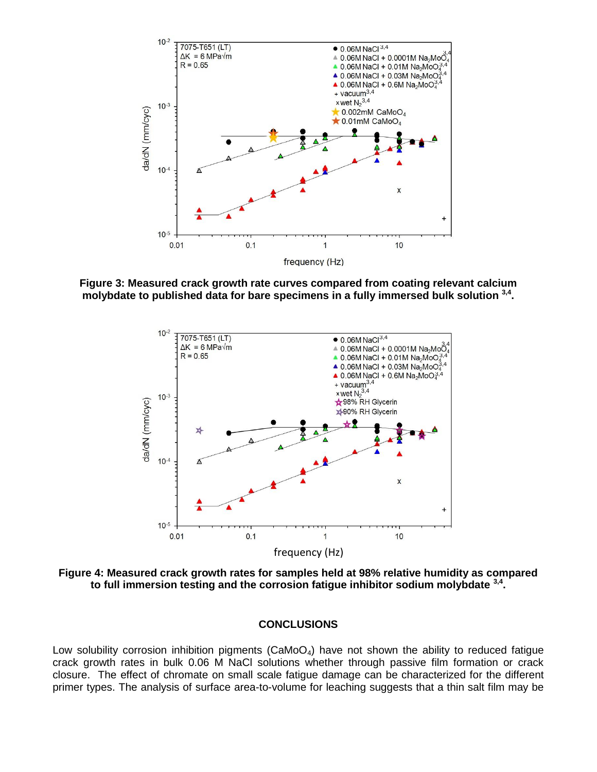

<span id="page-7-0"></span>**Figure 3: Measured crack growth rate curves compared from coating relevant calcium molybdate to published data for bare specimens in a fully immersed bulk solution 3,4 .**



<span id="page-7-1"></span>**Figure 4: Measured crack growth rates for samples held at 98% relative humidity as compared to full immersion testing and the corrosion fatigue inhibitor sodium molybdate 3,4 .**

#### **CONCLUSIONS**

Low solubility corrosion inhibition pigments ( $CaMoO<sub>4</sub>$ ) have not shown the ability to reduced fatigue crack growth rates in bulk 0.06 M NaCl solutions whether through passive film formation or crack closure. The effect of chromate on small scale fatigue damage can be characterized for the different primer types. The analysis of surface area-to-volume for leaching suggests that a thin salt film may be